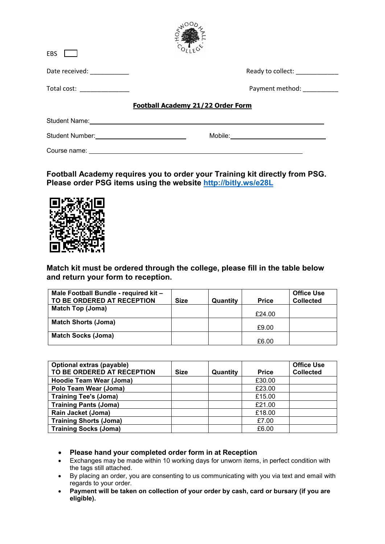| <b>EBS</b>                                      |                                          |
|-------------------------------------------------|------------------------------------------|
| Date received: ___________                      | Ready to collect: ____________           |
| Total cost: _______________                     | Payment method: National Payment method: |
|                                                 | Football Academy 21/22 Order Form        |
|                                                 |                                          |
| Student Number: _______________________________ |                                          |
| Course name:                                    |                                          |

**RWOOD** 

**Football Academy requires you to order your Training kit directly from PSG. Please order PSG items using the website<http://bitly.ws/e28L>**



**Match kit must be ordered through the college, please fill in the table below and return your form to reception.** 

| Male Football Bundle - required kit -<br>TO BE ORDERED AT RECEPTION | <b>Size</b> | Quantity | <b>Price</b> | <b>Office Use</b><br><b>Collected</b> |
|---------------------------------------------------------------------|-------------|----------|--------------|---------------------------------------|
| Match Top (Joma)                                                    |             |          | £24.00       |                                       |
| <b>Match Shorts (Joma)</b>                                          |             |          | £9.00        |                                       |
| <b>Match Socks (Joma)</b>                                           |             |          | £6.00        |                                       |

| Optional extras (payable)<br>TO BE ORDERED AT RECEPTION | <b>Size</b> | Quantity | <b>Price</b> | <b>Office Use</b><br><b>Collected</b> |
|---------------------------------------------------------|-------------|----------|--------------|---------------------------------------|
| <b>Hoodie Team Wear (Joma)</b>                          |             |          | £30.00       |                                       |
| Polo Team Wear (Joma)                                   |             |          | £23.00       |                                       |
| <b>Training Tee's (Joma)</b>                            |             |          | £15.00       |                                       |
| <b>Training Pants (Joma)</b>                            |             |          | £21.00       |                                       |
| Rain Jacket (Joma)                                      |             |          | £18.00       |                                       |
| <b>Training Shorts (Joma)</b>                           |             |          | £7.00        |                                       |
| <b>Training Socks (Joma)</b>                            |             |          | £6.00        |                                       |

- **Please hand your completed order form in at Reception**
- Exchanges may be made within 10 working days for unworn items, in perfect condition with the tags still attached.
- By placing an order, you are consenting to us communicating with you via text and email with regards to your order.
- **Payment will be taken on collection of your order by cash, card or bursary (if you are eligible).**